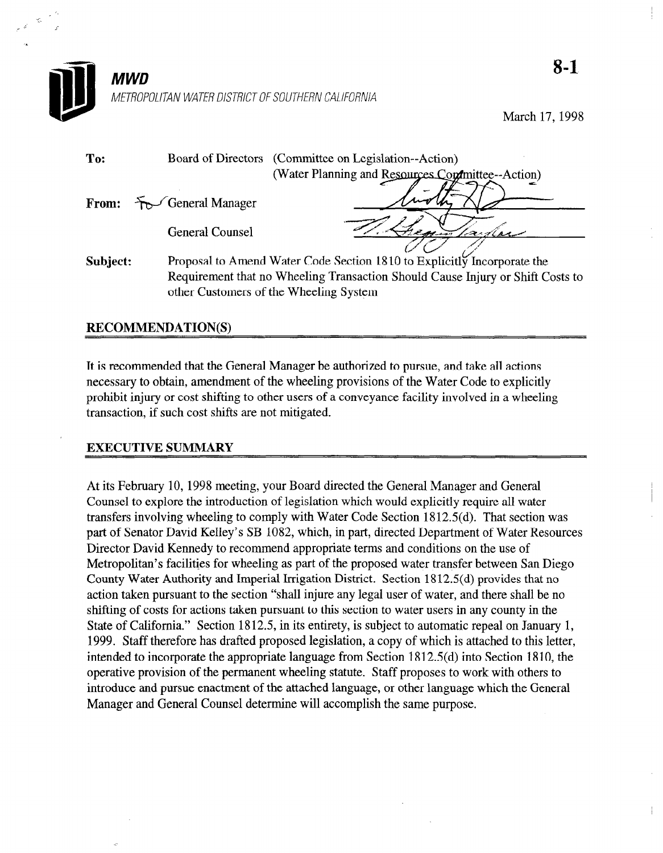

March 17,199s

| To:      | Board of Directors (Committee on Legislation--Action)                                                                    |
|----------|--------------------------------------------------------------------------------------------------------------------------|
|          | (Water Planning and Resources Continuative-Action)                                                                       |
|          | From: $F \rightarrow$ General Manager                                                                                    |
|          | <b>General Counsel</b><br>equitarlan                                                                                     |
| Subject: | Proposal to Amend Water Code Section 1810 to Explicitly Incorporate the                                                  |
|          | Requirement that no Wheeling Transaction Should Cause Injury or Shift Costs to<br>other Customers of the Wheeling System |

## RECOMMENDATION(S)

It is recommended that the General Manager be authorized to pursue, and take all actions necessary to obtain, amendment of the wheeling provisions of the Water Code to explicitly prohibit injury or cost shifting to other users of a conveyance facility involved in a wheeling transaction, if such cost shifts are not mitigated.

## EXECUTIVE SUMMARY

At its February 10, 1998 meeting, your Board directed the General Manager and General At its redutary ro, 1996 including, your board unclied the General Manager and General Counsel to explore the introduction of legislation which would explicitly require all water transfers involving wheeling to comply with Water Code Section 1812.5(d). That section was part of Senator David Kelley's SB 1082, which, in part, directed Department of Water Resources Director David Kennedy to recommend appropriate terms and conditions on the use of Metropolitan's facilities for wheeling as part of the proposed water transfer between San Diego County Water Authority and Imperial Irrigation District. Section 1812.5(d) provides that no action taken pursuant to the section "shall injure any legal user of water, and there shall be no shifting of costs for actions taken pursuant to this section to water users in any county in the State of California." Section 1812.5, in its entirety, is subject to automatic repeal on January 1, 1999. Staff therefore has drafted proposed legislation, a copy of which is attached to this letter, intended to incorporate the appropriate language from Section  $1812.5(d)$  into Section 1810, the operative provision of the permanent wheeling statute. Staff proposes to work with others to introduce and pursue enactment of the attached language, or other language which the General Manager and General Counsel determine will accomplish the same purpose.

 $\mathbf{r}$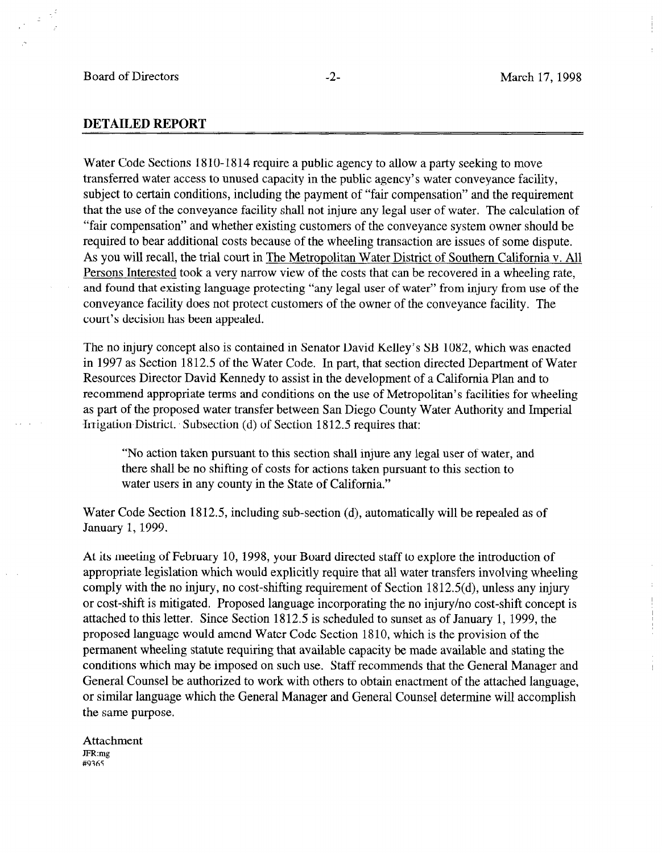$\mathbb{R}^3$  $\frac{1}{m}$ 

## DETAILED REPORT

Water Code Sections 1810-1814 require a public agency to allow a party seeking to move transferred water access to unused capacity in the public agency's water conveyance facility, subject to certain conditions, including the payment of "fair compensation" and the requirement that the use of the conveyance facility shall not injure any legal user of water. The calculation of "fair compensation" and whether existing customers of the conveyance system owner should be required to bear additional costs because of the wheeling transaction are issues of some dispute. As you will recall, the trial court in The Metropolitan Water District of Southern California v. All Persons Interested took a very narrow view of the costs that can be recovered in a wheeling rate, and found that existing language protecting "any legal user of water" from injury from use of the conveyance facility does not protect customers of the owner of the conveyance facility. The court's decision has been appealed.

The no injury concept also is contained in Senator David Kelley's SB 1082, which was enacted in 1997 as Section 1812.5 of the Water Code. In part, that section directed Department of Water Resources Director David Kennedy to assist in the development of a California Plan and to recommend approved a propriate terms and conditions of a conditions of a metropolitan's facilities for when recommend appropriate terms and conditions on the use of pretroportian s factures for wherein as part of the proposed water transfer between San Diego County Water Authority and Imperial Irrigation District. Subsection (d) of Section 1812.5 requires that:

"No action taken pursuant to this section shall injure any legal user of water, and the action taken pursuant to this section shall hijure any legal user of water, there shall be no shifting of costs for actions taken pursuant to this section to water users in any county in the State of California."

 $W$  is the Section 1812.5, including sub-section (d), and automatically will be repealed as of  $\alpha$ water Code Sec

At its meeting of February 10, 1998, your Board directed staff to explore the introduction of appropriate legislation which would explicitly require that all water transfers involving wheeling comply with the no injury, no cost-shifting requirement of Section 1812.5(d), unless any injury or cost-shift is mitigated. Proposed language incorporating the no injury/no cost-shift concept is attached to this letter. Since Section 1812.5 is scheduled to sunset as of January 1, 1999, the proposed language would amend Water Code Section 1810, which is the provision of the permanent wheeling statute requiring that available capacity be made available and stating the conditions which may be imposed on such use. Staff recommends that the General Manager and General Counsel be authorized to work with others to obtain enactment of the attached language, or similar language which the General Manager and General Counsel determine will accomplish the same purpose.

Attachment JFR:mg #9365